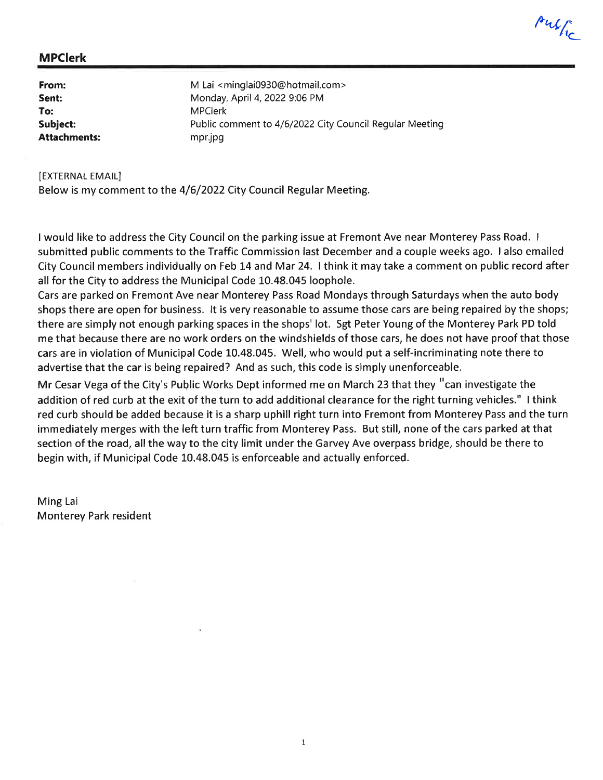l'4{L

### MPClerk

| From:               | M Lai <minglai0930@hotmail.com></minglai0930@hotmail.com> |
|---------------------|-----------------------------------------------------------|
| Sent:               | Monday, April 4, 2022 9:06 PM                             |
| To:                 | <b>MPClerk</b>                                            |
| Subject:            | Public comment to 4/6/2022 City Council Regular Meeting   |
| <b>Attachments:</b> | mpr.jpg                                                   |

**IEXTERNAL EMAIL]** Below is my comment to the a/6/2022 City Council Regular Meeting.

I would like to address the City Council on the parking issue at Fremont Ave near Monterey Pass Road. <sup>I</sup> submitted public comments to the Traffic Commission last December and a couple weeks ago. I also emailed City Council members individually on Feb L4 and Mar 24. I think it may take a comment on public record after all for the City to address the Municipal Code 10.48.045 loophole.

Cars are parked on Fremont Ave near Monterey Pass Road Mondays through Saturdays when the auto body shops there are open for business. lt is very reasonable to assume those cars are being repaired by the shops; there are simply not enough parking spaces in the shops' lot. Sgt Peter Young of the Monterey Park PD told me that because there are no work orders on the windshields of those cars, he does not have proof that those cars are in violation of Municipal Code 10.48.045. Well, who would put a self-incriminating note there to advertise that the car is being repaired? And as such, this code is simply unenforceable.

Mr Cesar Vega of the City's Public Works Dept informed me on March 23 that they "can investigate the addition of red curb at the exit of the turn to add additional clearance for the right turning vehicles." I think red curb should be added because it is a sharp uphill right turn into Fremont from Monterey Pass and the turn immediately merges with the left turn traffic from Monterey Pass. But still, none of the cars parked at that section of the road, all the way to the city limit under the Garvey Ave overpass bridge, should be there to begin with, if Municipal Code 10.48.045 is enforceable and actually enforced.

Ming Lai Monterey Park resident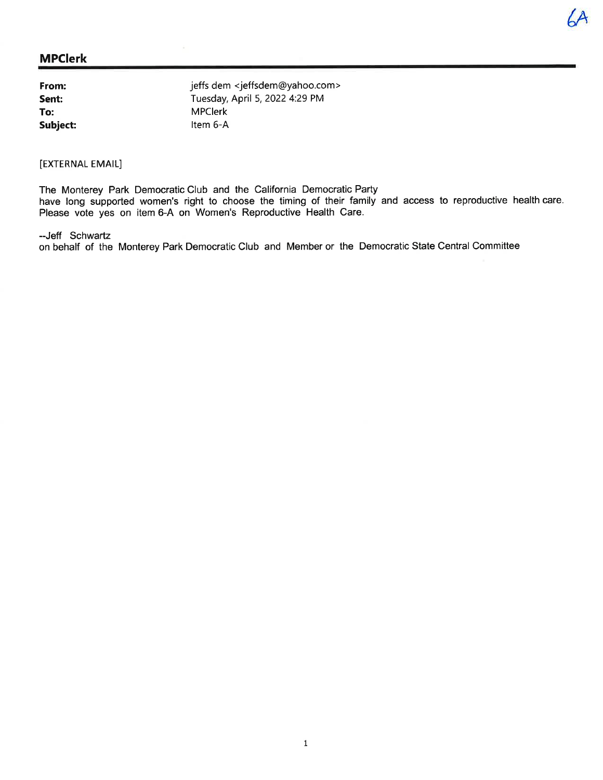## MPClerk

| From:    | jeffs dem      |
|----------|----------------|
| Sent:    | Tuesday,       |
| To:      | <b>MPClerk</b> |
| Subject: | ltem 6-A       |

em <jeffsdem@yahoo.com> ay, April 5, 2022 4:29 PM  $rk$ 

# [EXTERNAL EMAIL]

The Monterey Park Democratic Club and the California Democratic Party have long supported women's right to choose the timing of their family and access to reproductive health care. Please vote yes on item 6-A on Women's Reproductive Health Care.

 $A$ 

#### -Jeff Schwartz

on behalf of the Monterey Park Democratic Club and Member or the Democratic State Central Committee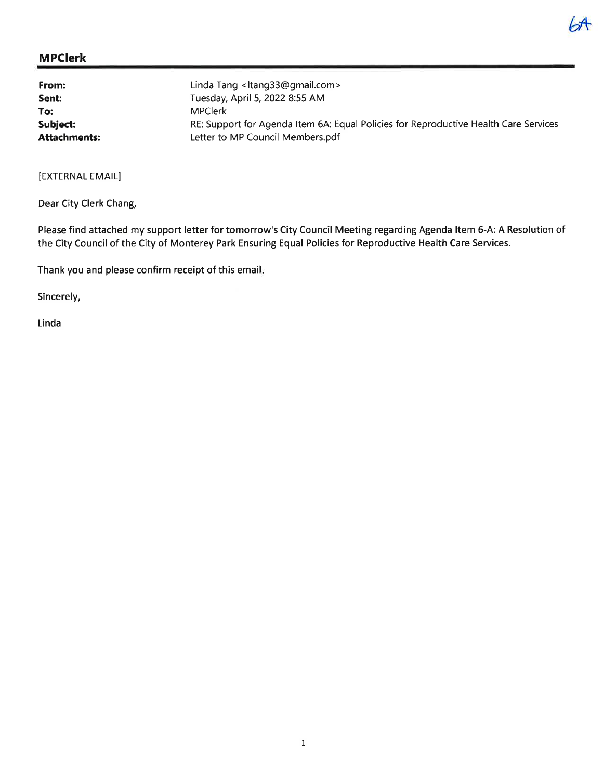# MPGlerk

| From:               | Linda Tang <ltang33@gmail.com></ltang33@gmail.com>                                   |
|---------------------|--------------------------------------------------------------------------------------|
| Sent:               | Tuesday, April 5, 2022 8:55 AM                                                       |
| To:                 | <b>MPClerk</b>                                                                       |
| Subject:            | RE: Support for Agenda Item 6A: Equal Policies for Reproductive Health Care Services |
| <b>Attachments:</b> | Letter to MP Council Members.pdf                                                     |

[EXTERNAL EMAIL]

Dear City Clerk Chang,

Please find attached my support letter for tomorrow's City Council Meeting regarding Agenda ltem 5-A: A Resolution of the City Council of the City of Monterey Park Ensuring Equal Policies for Reproductive Health Care Services.

Thank you and please confirm receipt of this email

Sincerely,

Linda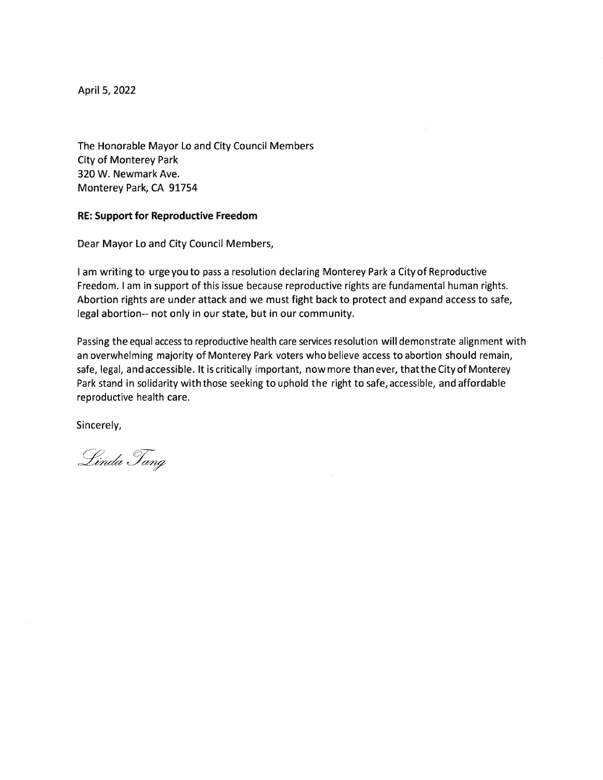April 5, 2022

The Honorable Mayor Lo and City Council Members City of Monterey Park 320 W. Newmark Ave. Monterey Park, CA 91754

#### RE: Support for Reproductive Freedom

Dear Mayor Lo and City Council Members,

lam writing to urgeyouto pass a resolution declaring Monterey Park a Cityof Reproductive Freedom. I am in support of this issue because reproductive rights are fundamental human rights. Abortion rights are under attack and we must fight back to protect and expand access to safe, legal abortion-- not only in our state, but in our community.

Passing the equal access to reproductive health care services resolution will demonstrate alignment with an overwhelming majority of Monterey Park voters who believe access to abortion should remain, safe, legal, and accessible. lt is critically important, now more than ever, that the City of Monterey Park stand in solidarity with those seeking to uphold the right to safe, accessible, and affordable reproductive health care.

Sincerely,

Linda Tang